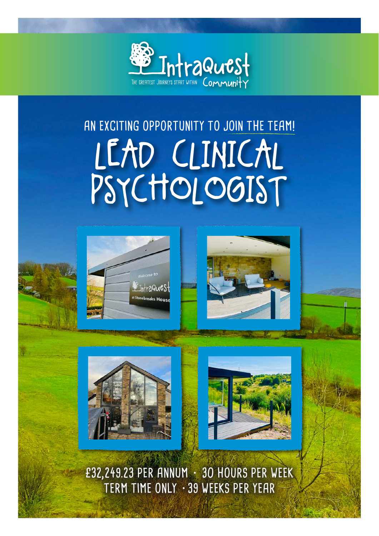

# LEAD CLINICAL PSYCHOLOGIST **AN EXCITING OPPORTUNITY TO JOIN THE TEAM!**









**£32,249.23 PER ANNUM • 30 HOURS PER WEEK TERM TIME ONLY •39 WEEKS PER YEAR**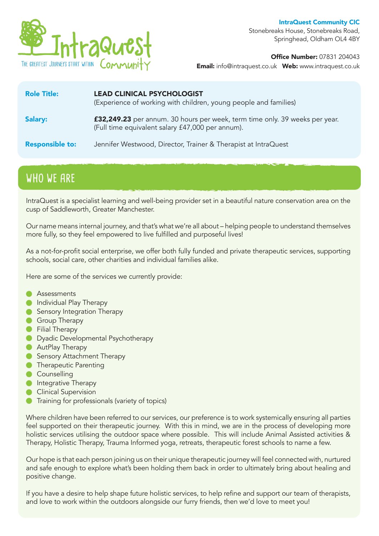

IntraQuest Community CIC Stonebreaks House, Stonebreaks Road, Springhead, Oldham OL4 4BY

Office Number: 07831 204043

Email: info@intraquest.co.uk Web: www.intraquest.co.uk

| <b>Role Title:</b>     | <b>LEAD CLINICAL PSYCHOLOGIST</b><br>(Experience of working with children, young people and families)                           |
|------------------------|---------------------------------------------------------------------------------------------------------------------------------|
| <b>Salary:</b>         | £32,249.23 per annum. 30 hours per week, term time only. 39 weeks per year.<br>(Full time equivalent salary £47,000 per annum). |
| <b>Responsible to:</b> | Jennifer Westwood, Director, Trainer & Therapist at IntraQuest                                                                  |

## **WHO WE ARE**

IntraQuest is a specialist learning and well-being provider set in a beautiful nature conservation area on the cusp of Saddleworth, Greater Manchester.

Our name means internal journey, and that's what we're all about – helping people to understand themselves more fully, so they feel empowered to live fulfilled and purposeful lives!

As a not-for-profit social enterprise, we offer both fully funded and private therapeutic services, supporting schools, social care, other charities and individual families alike.

Here are some of the services we currently provide:

- Assessments  $\blacksquare$
- **Individual Play Therapy**
- **Sensory Integration Therapy**
- **Group Therapy**
- **•** Filial Therapy
- **O** Dyadic Developmental Psychotherapy
- **AutPlay Therapy**
- **Sensory Attachment Therapy**
- **C** Therapeutic Parenting
- Counselling
- **Integrative Therapy**
- **Clinical Supervision**
- Training for professionals (variety of topics)

Where children have been referred to our services, our preference is to work systemically ensuring all parties feel supported on their therapeutic journey. With this in mind, we are in the process of developing more holistic services utilising the outdoor space where possible. This will include Animal Assisted activities & Therapy, Holistic Therapy, Trauma Informed yoga, retreats, therapeutic forest schools to name a few.

Our hope is that each person joining us on their unique therapeutic journey will feel connected with, nurtured and safe enough to explore what's been holding them back in order to ultimately bring about healing and positive change.

If you have a desire to help shape future holistic services, to help refine and support our team of therapists, and love to work within the outdoors alongside our furry friends, then we'd love to meet you!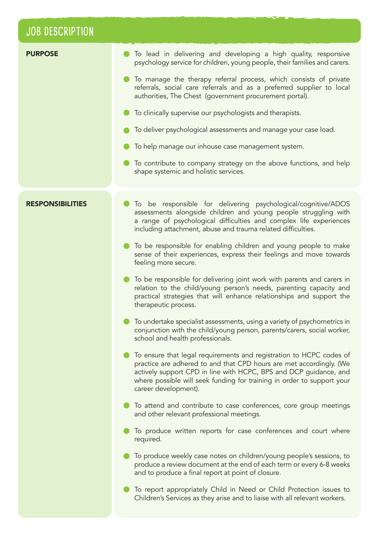## **JOB DESCRIPTION**

| <b>PURPOSE</b>          | To lead in delivering and developing a high quality, responsive<br>psychology service for children, young people, their families and carers.                                                                                                                                                                      |
|-------------------------|-------------------------------------------------------------------------------------------------------------------------------------------------------------------------------------------------------------------------------------------------------------------------------------------------------------------|
|                         | To manage the therapy referral process, which consists of private<br>referrals, social care referrals and as a preferred supplier to local<br>authorities, The Chest (government procurement portal).                                                                                                             |
|                         | To clinically supervise our psychologists and therapists.                                                                                                                                                                                                                                                         |
|                         | To deliver psychological assessments and manage your case load.                                                                                                                                                                                                                                                   |
|                         | To help manage our inhouse case management system.                                                                                                                                                                                                                                                                |
|                         | To contribute to company strategy on the above functions, and help<br>shape systemic and holistic services.                                                                                                                                                                                                       |
|                         |                                                                                                                                                                                                                                                                                                                   |
| <b>RESPONSIBILITIES</b> | To be responsible for delivering psychological/cognitive/ADOS<br>assessments alongside children and young people struggling with<br>a range of psychological difficulties and complex life experiences<br>including attachment, abuse and trauma related difficulties.                                            |
|                         | To be responsible for enabling children and young people to make<br>sense of their experiences, express their feelings and move towards<br>feeling more secure.                                                                                                                                                   |
|                         | To be responsible for delivering joint work with parents and carers in<br>relation to the child/young person's needs, parenting capacity and<br>practical strategies that will enhance relationships and support the<br>therapeutic process.                                                                      |
|                         | To undertake specialist assessments, using a variety of psychometrics in<br>conjunction with the child/young person, parents/carers, social worker,<br>school and health professionals.                                                                                                                           |
|                         | To ensure that legal requirements and registration to HCPC codes of<br>practice are adhered to and that CPD hours are met accordingly. (We<br>actively support CPD in line with HCPC, BPS and DCP guidance, and<br>where possible will seek funding for training in order to support your<br>career development). |
|                         | To attend and contribute to case conferences, core group meetings<br>and other relevant professional meetings.                                                                                                                                                                                                    |
|                         | To produce written reports for case conferences and court where<br>required.                                                                                                                                                                                                                                      |
|                         | To produce weekly case notes on children/young people's sessions, to<br>produce a review document at the end of each term or every 6-8 weeks<br>and to produce a final report at point of closure.                                                                                                                |
|                         | To report appropriately Child in Need or Child Protection issues to<br>Children's Services as they arise and to liaise with all relevant workers.                                                                                                                                                                 |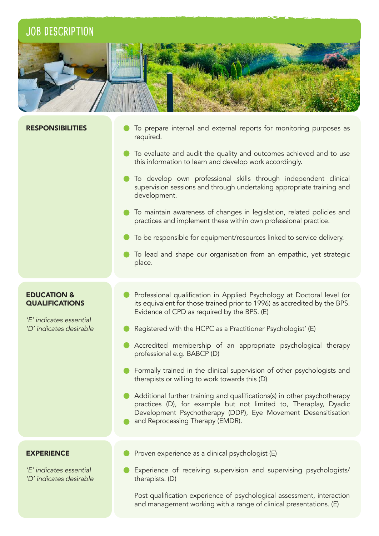## **JOB DESCRIPTION**



#### **RESPONSIBILITIES**

- To prepare internal and external reports for monitoring purposes as required.
- To evaluate and audit the quality and outcomes achieved and to use this information to learn and develop work accordingly.
- To develop own professional skills through independent clinical supervision sessions and through undertaking appropriate training and development.
- **To maintain awareness of changes in legislation, related policies and** practices and implement these within own professional practice.
- $\bullet$  To be responsible for equipment/resources linked to service delivery.
- $\bullet$  To lead and shape our organisation from an empathic, yet strategic place.

#### EDUCATION & **QUALIFICATIONS**

'E' indicates essential 'D' indicates desirable

- **•** Professional qualification in Applied Psychology at Doctoral level (or its equivalent for those trained prior to 1996) as accredited by the BPS. Evidence of CPD as required by the BPS. (E)
- Registered with the HCPC as a Practitioner Psychologist' (E)
- Accredited membership of an appropriate psychological therapy professional e.g. BABCP (D)
- **•** Formally trained in the clinical supervision of other psychologists and therapists or willing to work towards this (D)
- Additional further training and qualifications(s) in other psychotherapy practices (D), for example but not limited to, Theraplay, Dyadic Development Psychotherapy (DDP), Eye Movement Desensitisation and Reprocessing Therapy (EMDR).

#### **EXPERIENCE**

'E' indicates essential 'D' indicates desirable

- Proven experience as a clinical psychologist (E)
- Experience of receiving supervision and supervising psychologists/ therapists. (D)

Post qualification experience of psychological assessment, interaction and management working with a range of clinical presentations. (E)